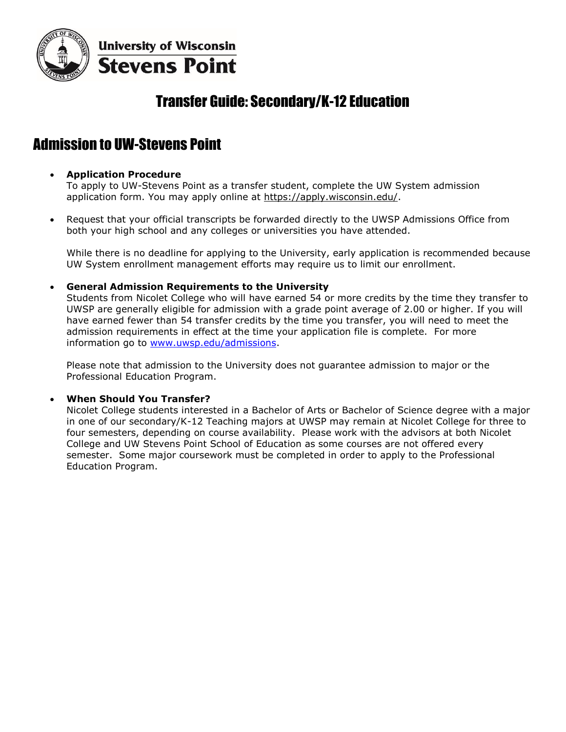

**University of Wisconsin Stevens Point** 

## Transfer Guide: Secondary/K-12 Education

## Admission to UW-Stevens Point

## **Application Procedure**

To apply to UW-Stevens Point as a transfer student, complete the UW System admission application form. You may apply online at [https://apply.wisconsin.edu/.](https://apply.wisconsin.edu/)

 Request that your official transcripts be forwarded directly to the UWSP Admissions Office from both your high school and any colleges or universities you have attended.

While there is no deadline for applying to the University, early application is recommended because UW System enrollment management efforts may require us to limit our enrollment.

#### **General Admission Requirements to the University**

Students from Nicolet College who will have earned 54 or more credits by the time they transfer to UWSP are generally eligible for admission with a grade point average of 2.00 or higher. If you will have earned fewer than 54 transfer credits by the time you transfer, you will need to meet the admission requirements in effect at the time your application file is complete. For more information go to [www.uwsp.edu/admissions.](http://www.uwsp.edu/admissions)

Please note that admission to the University does not guarantee admission to major or the Professional Education Program.

#### **When Should You Transfer?**

Nicolet College students interested in a Bachelor of Arts or Bachelor of Science degree with a major in one of our secondary/K-12 Teaching majors at UWSP may remain at Nicolet College for three to four semesters, depending on course availability. Please work with the advisors at both Nicolet College and UW Stevens Point School of Education as some courses are not offered every semester. Some major coursework must be completed in order to apply to the Professional Education Program.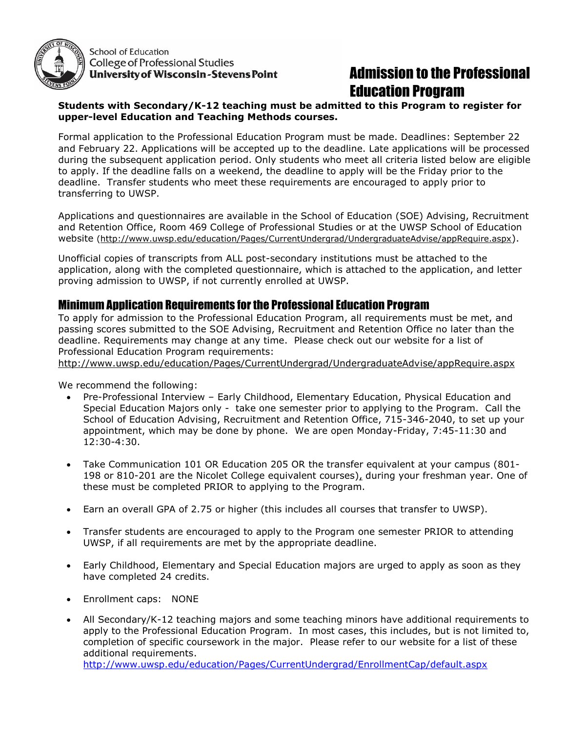

School of Education **College of Professional Studies University of Wisconsin-Stevens Point** 

# Admission to the Professional Education Program

## **Students with Secondary/K-12 teaching must be admitted to this Program to register for upper-level Education and Teaching Methods courses.**

Formal application to the Professional Education Program must be made. Deadlines: September 22 and February 22. Applications will be accepted up to the deadline. Late applications will be processed during the subsequent application period. Only students who meet all criteria listed below are eligible to apply. If the deadline falls on a weekend, the deadline to apply will be the Friday prior to the deadline. Transfer students who meet these requirements are encouraged to apply prior to transferring to UWSP.

Applications and questionnaires are available in the School of Education (SOE) Advising, Recruitment and Retention Office, Room 469 College of Professional Studies or at the UWSP School of Education website [\(http://www.uwsp.edu/education/Pages/CurrentUndergrad/UndergraduateAdvise/appRequire.aspx](http://www.uwsp.edu/education/Pages/CurrentUndergrad/UndergraduateAdvise/appRequire.aspx)).

Unofficial copies of transcripts from ALL post-secondary institutions must be attached to the application, along with the completed questionnaire, which is attached to the application, and letter proving admission to UWSP, if not currently enrolled at UWSP.

## Minimum Application Requirements for the Professional Education Program

To apply for admission to the Professional Education Program, all requirements must be met, and passing scores submitted to the SOE Advising, Recruitment and Retention Office no later than the deadline. Requirements may change at any time. Please check out our website for a list of Professional Education Program requirements:

<http://www.uwsp.edu/education/Pages/CurrentUndergrad/UndergraduateAdvise/appRequire.aspx>

We recommend the following:

- Pre-Professional Interview Early Childhood, Elementary Education, Physical Education and Special Education Majors only - take one semester prior to applying to the Program. Call the School of Education Advising, Recruitment and Retention Office, 715-346-2040, to set up your appointment, which may be done by phone. We are open Monday-Friday, 7:45-11:30 and 12:30-4:30.
- Take Communication 101 OR Education 205 OR the transfer equivalent at your campus (801- 198 or 810-201 are the Nicolet College equivalent courses), during your freshman year. One of these must be completed PRIOR to applying to the Program.
- Earn an overall GPA of 2.75 or higher (this includes all courses that transfer to UWSP).
- Transfer students are encouraged to apply to the Program one semester PRIOR to attending UWSP, if all requirements are met by the appropriate deadline.
- Early Childhood, Elementary and Special Education majors are urged to apply as soon as they have completed 24 credits.
- Enrollment caps: NONE
- All Secondary/K-12 teaching majors and some teaching minors have additional requirements to apply to the Professional Education Program. In most cases, this includes, but is not limited to, completion of specific coursework in the major. Please refer to our website for a list of these additional requirements.

<http://www.uwsp.edu/education/Pages/CurrentUndergrad/EnrollmentCap/default.aspx>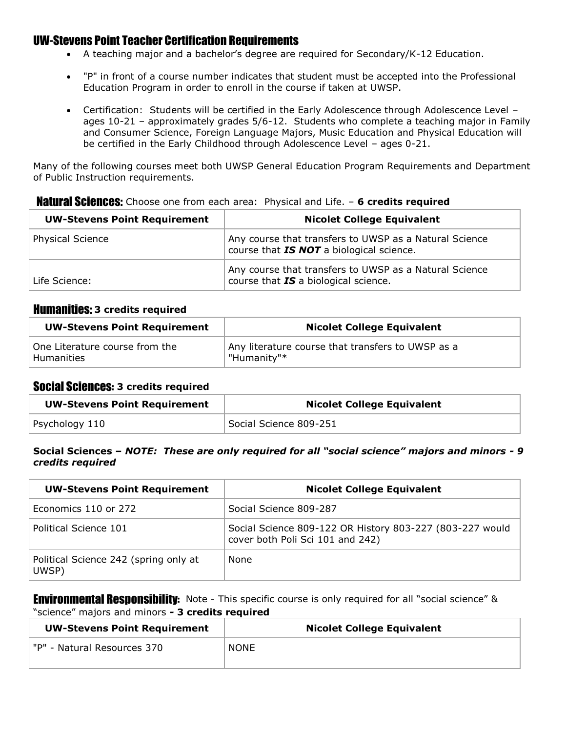## UW-Stevens Point Teacher Certification Requirements

- A teaching major and a bachelor's degree are required for Secondary/K-12 Education.
- "P" in front of a course number indicates that student must be accepted into the Professional Education Program in order to enroll in the course if taken at UWSP.
- Certification: Students will be certified in the Early Adolescence through Adolescence Level ages 10-21 – approximately grades 5/6-12. Students who complete a teaching major in Family and Consumer Science, Foreign Language Majors, Music Education and Physical Education will be certified in the Early Childhood through Adolescence Level – ages 0-21.

Many of the following courses meet both UWSP General Education Program Requirements and Department of Public Instruction requirements.

**Natural Sciences:** Choose one from each area: Physical and Life. - 6 credits required

| <b>UW-Stevens Point Requirement</b> | <b>Nicolet College Equivalent</b>                                                                  |
|-------------------------------------|----------------------------------------------------------------------------------------------------|
| <b>Physical Science</b>             | Any course that transfers to UWSP as a Natural Science<br>course that IS NOT a biological science. |
| Life Science:                       | Any course that transfers to UWSP as a Natural Science<br>course that IS a biological science.     |

## Humanities: **3 credits required**

| <b>UW-Stevens Point Requirement</b> | <b>Nicolet College Equivalent</b>                 |  |
|-------------------------------------|---------------------------------------------------|--|
| One Literature course from the      | Any literature course that transfers to UWSP as a |  |
| Humanities                          | "Humanity"*                                       |  |

## Social Sciences: **3 credits required**

| <b>UW-Stevens Point Requirement</b> | <b>Nicolet College Equivalent</b> |
|-------------------------------------|-----------------------------------|
| Psychology 110                      | Social Science 809-251            |

#### **Social Sciences –** *NOTE: These are only required for all "social science" majors and minors - 9 credits required*

| <b>UW-Stevens Point Requirement</b>            | <b>Nicolet College Equivalent</b>                                                            |
|------------------------------------------------|----------------------------------------------------------------------------------------------|
| Economics 110 or 272                           | Social Science 809-287                                                                       |
| Political Science 101                          | Social Science 809-122 OR History 803-227 (803-227 would<br>cover both Poli Sci 101 and 242) |
| Political Science 242 (spring only at<br>UWSP) | None                                                                                         |

**Environmental Responsibility:** Note - This specific course is only required for all "social science" & "science" majors and minors *-* **3 credits required**

| <b>UW-Stevens Point Requirement</b> | <b>Nicolet College Equivalent</b> |  |
|-------------------------------------|-----------------------------------|--|
| "P" - Natural Resources 370         | <b>NONE</b>                       |  |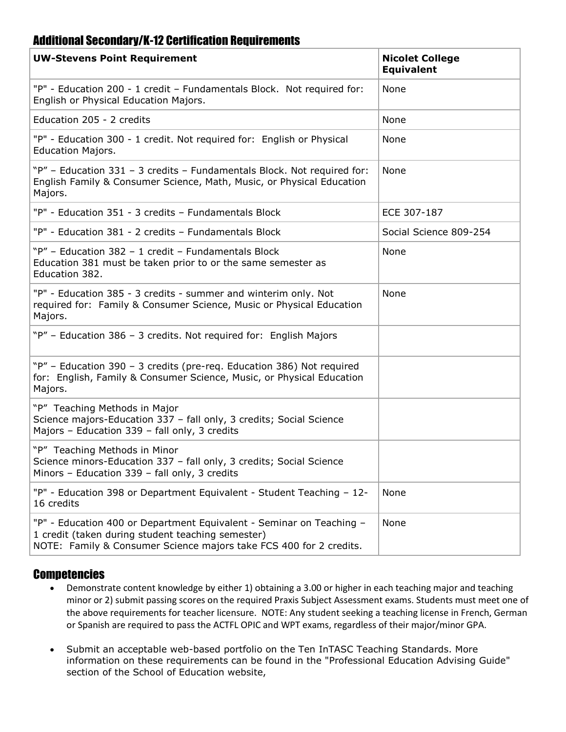## Additional Secondary/K-12 Certification Requirements

| <b>UW-Stevens Point Requirement</b>                                                                                                                                                             | <b>Nicolet College</b><br><b>Equivalent</b> |
|-------------------------------------------------------------------------------------------------------------------------------------------------------------------------------------------------|---------------------------------------------|
| "P" - Education 200 - 1 credit - Fundamentals Block. Not required for:<br>English or Physical Education Majors.                                                                                 | None                                        |
| Education 205 - 2 credits                                                                                                                                                                       | None                                        |
| "P" - Education 300 - 1 credit. Not required for: English or Physical<br><b>Education Majors.</b>                                                                                               | None                                        |
| "P" - Education 331 - 3 credits - Fundamentals Block. Not required for:<br>English Family & Consumer Science, Math, Music, or Physical Education<br>Majors.                                     | None                                        |
| "P" - Education 351 - 3 credits - Fundamentals Block                                                                                                                                            | ECE 307-187                                 |
| "P" - Education 381 - 2 credits - Fundamentals Block                                                                                                                                            | Social Science 809-254                      |
| "P" - Education 382 - 1 credit - Fundamentals Block<br>Education 381 must be taken prior to or the same semester as<br>Education 382.                                                           | None                                        |
| "P" - Education 385 - 3 credits - summer and winterim only. Not<br>required for: Family & Consumer Science, Music or Physical Education<br>Majors.                                              | None                                        |
| "P" - Education 386 - 3 credits. Not required for: English Majors                                                                                                                               |                                             |
| "P" - Education 390 - 3 credits (pre-req. Education 386) Not required<br>for: English, Family & Consumer Science, Music, or Physical Education<br>Majors.                                       |                                             |
| "P" Teaching Methods in Major<br>Science majors-Education 337 - fall only, 3 credits; Social Science<br>Majors - Education 339 - fall only, 3 credits                                           |                                             |
| "P" Teaching Methods in Minor<br>Science minors-Education 337 - fall only, 3 credits; Social Science<br>Minors - Education 339 - fall only, 3 credits                                           |                                             |
| "P" - Education 398 or Department Equivalent - Student Teaching - 12-<br>16 credits                                                                                                             | None                                        |
| "P" - Education 400 or Department Equivalent - Seminar on Teaching -<br>1 credit (taken during student teaching semester)<br>NOTE: Family & Consumer Science majors take FCS 400 for 2 credits. | None                                        |

## **Competencies**

- Demonstrate content knowledge by either 1) obtaining a 3.00 or higher in each teaching major and teaching minor or 2) submit passing scores on the required Praxis Subject Assessment exams. Students must meet one of the above requirements for teacher licensure. NOTE: Any student seeking a teaching license in French, German or Spanish are required to pass the ACTFL OPIC and WPT exams, regardless of their major/minor GPA.
- Submit an acceptable web-based portfolio on the Ten InTASC Teaching Standards. More information on these requirements can be found in the "Professional Education Advising Guide" section of the School of Education website,